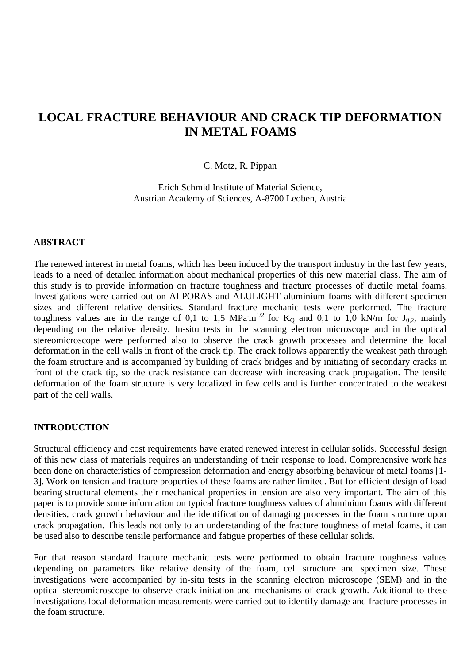# **LOCAL FRACTURE BEHAVIOUR AND CRACK TIP DEFORMATION IN METAL FOAMS**

## C. Motz, R. Pippan

Erich Schmid Institute of Material Science, Austrian Academy of Sciences, A-8700 Leoben, Austria

#### **ABSTRACT**

The renewed interest in metal foams, which has been induced by the transport industry in the last few years, leads to a need of detailed information about mechanical properties of this new material class. The aim of this study is to provide information on fracture toughness and fracture processes of ductile metal foams. Investigations were carried out on ALPORAS and ALULIGHT aluminium foams with different specimen sizes and different relative densities. Standard fracture mechanic tests were performed. The fracture toughness values are in the range of 0,1 to 1,5 MPa $m^{1/2}$  for K<sub>Q</sub> and 0,1 to 1,0 kN/m for J<sub>0,2</sub>, mainly depending on the relative density. In-situ tests in the scanning electron microscope and in the optical stereomicroscope were performed also to observe the crack growth processes and determine the local deformation in the cell walls in front of the crack tip. The crack follows apparently the weakest path through the foam structure and is accompanied by building of crack bridges and by initiating of secondary cracks in front of the crack tip, so the crack resistance can decrease with increasing crack propagation. The tensile deformation of the foam structure is very localized in few cells and is further concentrated to the weakest part of the cell walls.

## **INTRODUCTION**

Structural efficiency and cost requirements have erated renewed interest in cellular solids. Successful design of this new class of materials requires an understanding of their response to load. Comprehensive work has been done on characteristics of compression deformation and energy absorbing behaviour of metal foams [1- 3]. Work on tension and fracture properties of these foams are rather limited. But for efficient design of load bearing structural elements their mechanical properties in tension are also very important. The aim of this paper is to provide some information on typical fracture toughness values of aluminium foams with different densities, crack growth behaviour and the identification of damaging processes in the foam structure upon crack propagation. This leads not only to an understanding of the fracture toughness of metal foams, it can be used also to describe tensile performance and fatigue properties of these cellular solids.

For that reason standard fracture mechanic tests were performed to obtain fracture toughness values depending on parameters like relative density of the foam, cell structure and specimen size. These investigations were accompanied by in-situ tests in the scanning electron microscope (SEM) and in the optical stereomicroscope to observe crack initiation and mechanisms of crack growth. Additional to these investigations local deformation measurements were carried out to identify damage and fracture processes in the foam structure.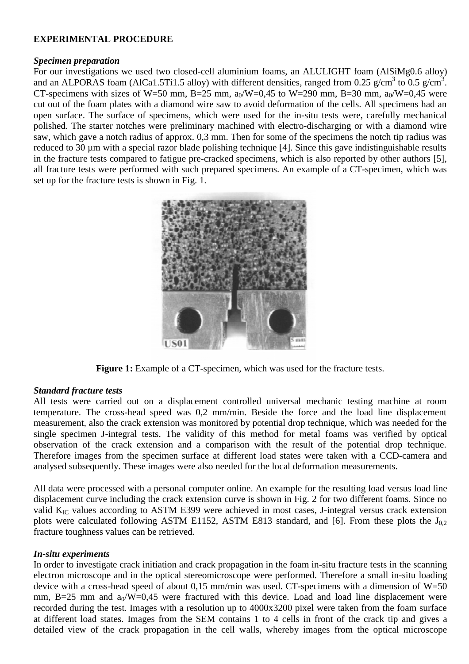# **EXPERIMENTAL PROCEDURE**

# *Specimen preparation*

For our investigations we used two closed-cell aluminium foams, an ALULIGHT foam (AlSiMg0.6 alloy) and an ALPORAS foam (AlCa1.5Ti1.5 alloy) with different densities, ranged from 0.25 g/cm<sup>3</sup> to 0.5 g/cm<sup>3</sup>. CT-specimens with sizes of W=50 mm, B=25 mm,  $a_0/W=0.45$  to W=290 mm, B=30 mm,  $a_0/W=0.45$  were cut out of the foam plates with a diamond wire saw to avoid deformation of the cells. All specimens had an open surface. The surface of specimens, which were used for the in-situ tests were, carefully mechanical polished. The starter notches were preliminary machined with electro-discharging or with a diamond wire saw, which gave a notch radius of approx. 0,3 mm. Then for some of the specimens the notch tip radius was reduced to 30 µm with a special razor blade polishing technique [4]. Since this gave indistinguishable results in the fracture tests compared to fatigue pre-cracked specimens, which is also reported by other authors [5], all fracture tests were performed with such prepared specimens. An example of a CT-specimen, which was set up for the fracture tests is shown in Fig. 1.



**Figure 1:** Example of a CT-specimen, which was used for the fracture tests.

# *Standard fracture tests*

All tests were carried out on a displacement controlled universal mechanic testing machine at room temperature. The cross-head speed was 0,2 mm/min. Beside the force and the load line displacement measurement, also the crack extension was monitored by potential drop technique, which was needed for the single specimen J-integral tests. The validity of this method for metal foams was verified by optical observation of the crack extension and a comparison with the result of the potential drop technique. Therefore images from the specimen surface at different load states were taken with a CCD-camera and analysed subsequently. These images were also needed for the local deformation measurements.

All data were processed with a personal computer online. An example for the resulting load versus load line displacement curve including the crack extension curve is shown in Fig. 2 for two different foams. Since no valid  $K_{IC}$  values according to ASTM E399 were achieved in most cases, J-integral versus crack extension plots were calculated following ASTM E1152, ASTM E813 standard, and [6]. From these plots the  $J_{0,2}$ fracture toughness values can be retrieved.

# *In-situ experiments*

In order to investigate crack initiation and crack propagation in the foam in-situ fracture tests in the scanning electron microscope and in the optical stereomicroscope were performed. Therefore a small in-situ loading device with a cross-head speed of about 0.15 mm/min was used. CT-specimens with a dimension of  $W=50$ mm, B=25 mm and  $a_0/W=0.45$  were fractured with this device. Load and load line displacement were recorded during the test. Images with a resolution up to 4000x3200 pixel were taken from the foam surface at different load states. Images from the SEM contains 1 to 4 cells in front of the crack tip and gives a detailed view of the crack propagation in the cell walls, whereby images from the optical microscope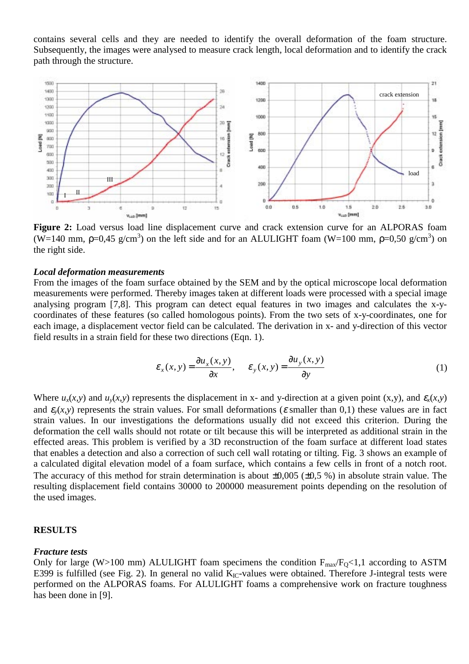contains several cells and they are needed to identify the overall deformation of the foam structure. Subsequently, the images were analysed to measure crack length, local deformation and to identify the crack path through the structure.



**Figure 2:** Load versus load line displacement curve and crack extension curve for an ALPORAS foam (W=140 mm,  $p=0.45$  g/cm<sup>3</sup>) on the left side and for an ALULIGHT foam (W=100 mm,  $p=0.50$  g/cm<sup>3</sup>) on the right side.

#### *Local deformation measurements*

From the images of the foam surface obtained by the SEM and by the optical microscope local deformation measurements were performed. Thereby images taken at different loads were processed with a special image analysing program [7,8]. This program can detect equal features in two images and calculates the x-ycoordinates of these features (so called homologous points). From the two sets of x-y-coordinates, one for each image, a displacement vector field can be calculated. The derivation in x- and y-direction of this vector field results in a strain field for these two directions (Eqn. 1).

$$
\varepsilon_x(x, y) = \frac{\partial u_x(x, y)}{\partial x}, \qquad \varepsilon_y(x, y) = \frac{\partial u_y(x, y)}{\partial y}
$$
 (1)

Where  $u_x(x, y)$  and  $u_y(x, y)$  represents the displacement in x- and y-direction at a given point  $(x, y)$ , and  $\varepsilon_x(x, y)$ and  $\varepsilon$ <sub>*i*</sub>(*x,y*) represents the strain values. For small deformations ( $\varepsilon$  smaller than 0,1) these values are in fact strain values. In our investigations the deformations usually did not exceed this criterion. During the deformation the cell walls should not rotate or tilt because this will be interpreted as additional strain in the effected areas. This problem is verified by a 3D reconstruction of the foam surface at different load states that enables a detection and also a correction of such cell wall rotating or tilting. Fig. 3 shows an example of a calculated digital elevation model of a foam surface, which contains a few cells in front of a notch root. The accuracy of this method for strain determination is about  $\pm 0.005$  ( $\pm 0.5$  %) in absolute strain value. The resulting displacement field contains 30000 to 200000 measurement points depending on the resolution of the used images.

# **RESULTS**

#### *Fracture tests*

Only for large (W>100 mm) ALULIGHT foam specimens the condition  $F_{\text{max}}/F_Q$ <1,1 according to ASTM E399 is fulfilled (see Fig. 2). In general no valid  $K_{IC}$ -values were obtained. Therefore J-integral tests were performed on the ALPORAS foams. For ALULIGHT foams a comprehensive work on fracture toughness has been done in [9].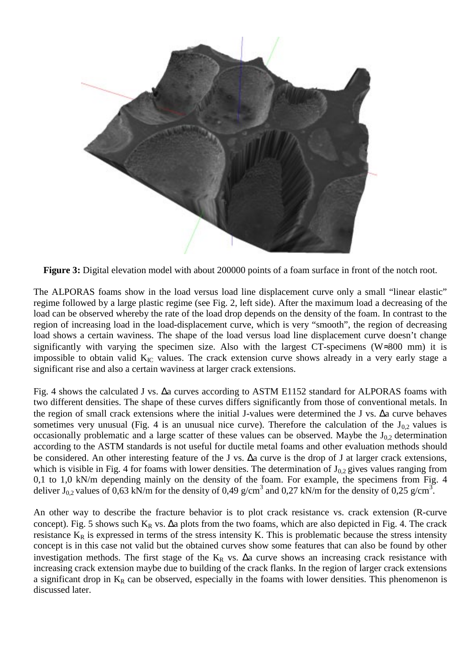

**Figure 3:** Digital elevation model with about 200000 points of a foam surface in front of the notch root.

The ALPORAS foams show in the load versus load line displacement curve only a small "linear elastic" regime followed by a large plastic regime (see Fig. 2, left side). After the maximum load a decreasing of the load can be observed whereby the rate of the load drop depends on the density of the foam. In contrast to the region of increasing load in the load-displacement curve, which is very "smooth", the region of decreasing load shows a certain waviness. The shape of the load versus load line displacement curve doesn't change significantly with varying the specimen size. Also with the largest CT-specimens (W≈300 mm) it is impossible to obtain valid  $K_{IC}$  values. The crack extension curve shows already in a very early stage a significant rise and also a certain waviness at larger crack extensions.

Fig. 4 shows the calculated J vs. ∆a curves according to ASTM E1152 standard for ALPORAS foams with two different densities. The shape of these curves differs significantly from those of conventional metals. In the region of small crack extensions where the initial J-values were determined the J vs. ∆a curve behaves sometimes very unusual (Fig. 4 is an unusual nice curve). Therefore the calculation of the  $J_{0,2}$  values is occasionally problematic and a large scatter of these values can be observed. Maybe the  $J_{0,2}$  determination according to the ASTM standards is not useful for ductile metal foams and other evaluation methods should be considered. An other interesting feature of the J vs. ∆a curve is the drop of J at larger crack extensions, which is visible in Fig. 4 for foams with lower densities. The determination of  $J_{0,2}$  gives values ranging from 0,1 to 1,0 kN/m depending mainly on the density of the foam. For example, the specimens from Fig. 4 deliver  $J_{0,2}$  values of 0,63 kN/m for the density of 0,49 g/cm<sup>3</sup> and 0,27 kN/m for the density of 0,25 g/cm<sup>3</sup>.

An other way to describe the fracture behavior is to plot crack resistance vs. crack extension (R-curve concept). Fig. 5 shows such  $K_R$  vs.  $\Delta a$  plots from the two foams, which are also depicted in Fig. 4. The crack resistance  $K_R$  is expressed in terms of the stress intensity K. This is problematic because the stress intensity concept is in this case not valid but the obtained curves show some features that can also be found by other investigation methods. The first stage of the K<sub>R</sub> vs.  $\Delta a$  curve shows an increasing crack resistance with increasing crack extension maybe due to building of the crack flanks. In the region of larger crack extensions a significant drop in  $K_R$  can be observed, especially in the foams with lower densities. This phenomenon is discussed later.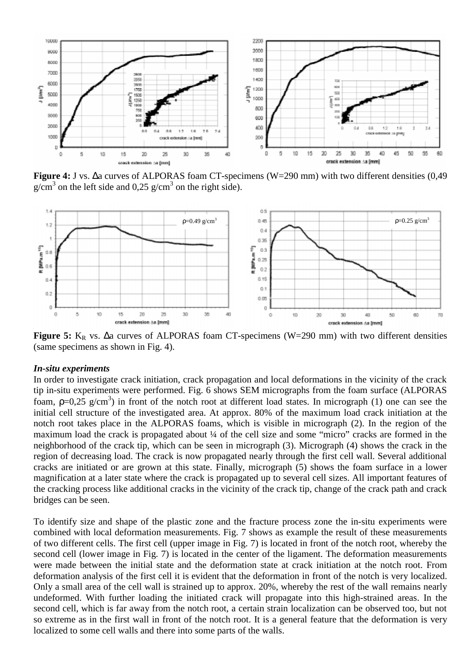

**Figure 4:** J vs. ∆a curves of ALPORAS foam CT-specimens (W=290 mm) with two different densities (0,49  $g/cm<sup>3</sup>$  on the left side and 0,25  $g/cm<sup>3</sup>$  on the right side).



Figure 5: K<sub>R</sub> vs. ∆a curves of ALPORAS foam CT-specimens (W=290 mm) with two different densities (same specimens as shown in Fig. 4).

#### *In-situ experiments*

In order to investigate crack initiation, crack propagation and local deformations in the vicinity of the crack tip in-situ experiments were performed. Fig. 6 shows SEM micrographs from the foam surface (ALPORAS foam,  $p=0.25$  g/cm<sup>3</sup>) in front of the notch root at different load states. In micrograph (1) one can see the initial cell structure of the investigated area. At approx. 80% of the maximum load crack initiation at the notch root takes place in the ALPORAS foams, which is visible in micrograph (2). In the region of the maximum load the crack is propagated about ¼ of the cell size and some "micro" cracks are formed in the neighborhood of the crack tip, which can be seen in micrograph (3). Micrograph (4) shows the crack in the region of decreasing load. The crack is now propagated nearly through the first cell wall. Several additional cracks are initiated or are grown at this state. Finally, micrograph (5) shows the foam surface in a lower magnification at a later state where the crack is propagated up to several cell sizes. All important features of the cracking process like additional cracks in the vicinity of the crack tip, change of the crack path and crack bridges can be seen.

To identify size and shape of the plastic zone and the fracture process zone the in-situ experiments were combined with local deformation measurements. Fig. 7 shows as example the result of these measurements of two different cells. The first cell (upper image in Fig. 7) is located in front of the notch root, whereby the second cell (lower image in Fig. 7) is located in the center of the ligament. The deformation measurements were made between the initial state and the deformation state at crack initiation at the notch root. From deformation analysis of the first cell it is evident that the deformation in front of the notch is very localized. Only a small area of the cell wall is strained up to approx. 20%, whereby the rest of the wall remains nearly undeformed. With further loading the initiated crack will propagate into this high-strained areas. In the second cell, which is far away from the notch root, a certain strain localization can be observed too, but not so extreme as in the first wall in front of the notch root. It is a general feature that the deformation is very localized to some cell walls and there into some parts of the walls.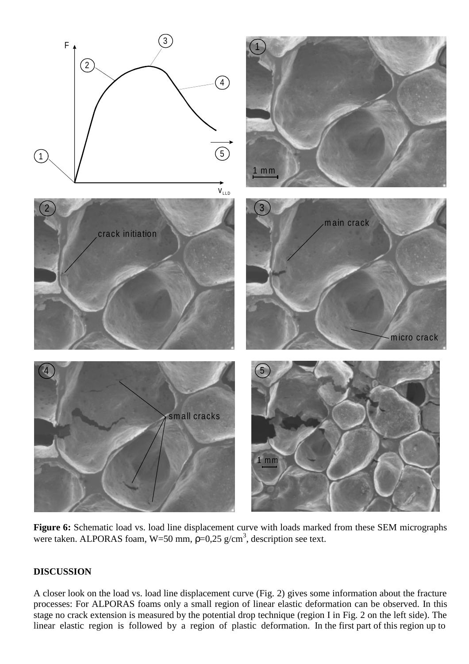

Figure 6: Schematic load vs. load line displacement curve with loads marked from these SEM micrographs were taken. ALPORAS foam, W=50 mm,  $p=0.25$  g/cm<sup>3</sup>, description see text.

# **DISCUSSION**

A closer look on the load vs. load line displacement curve (Fig. 2) gives some information about the fracture processes: For ALPORAS foams only a small region of linear elastic deformation can be observed. In this stage no crack extension is measured by the potential drop technique (region I in Fig. 2 on the left side). The linear elastic region is followed by a region of plastic deformation. In the first part of this region up to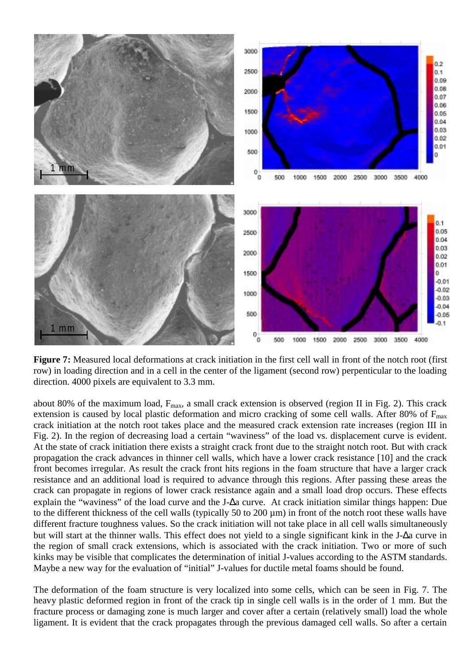

**Figure 7:** Measured local deformations at crack initiation in the first cell wall in front of the notch root (first row) in loading direction and in a cell in the center of the ligament (second row) perpenticular to the loading direction. 4000 pixels are equivalent to 3.3 mm.

about 80% of the maximum load,  $F_{\text{max}}$ , a small crack extension is observed (region II in Fig. 2). This crack extension is caused by local plastic deformation and micro cracking of some cell walls. After 80% of  $F_{\text{max}}$ crack initiation at the notch root takes place and the measured crack extension rate increases (region III in Fig. 2). In the region of decreasing load a certain "waviness" of the load vs. displacement curve is evident. At the state of crack initiation there exists a straight crack front due to the straight notch root. But with crack propagation the crack advances in thinner cell walls, which have a lower crack resistance [10] and the crack front becomes irregular. As result the crack front hits regions in the foam structure that have a larger crack resistance and an additional load is required to advance through this regions. After passing these areas the crack can propagate in regions of lower crack resistance again and a small load drop occurs. These effects explain the "waviness" of the load curve and the J-∆a curve. At crack initiation similar things happen: Due to the different thickness of the cell walls (typically 50 to 200 µm) in front of the notch root these walls have different fracture toughness values. So the crack initiation will not take place in all cell walls simultaneously but will start at the thinner walls. This effect does not yield to a single significant kink in the J-∆a curve in the region of small crack extensions, which is associated with the crack initiation. Two or more of such kinks may be visible that complicates the determination of initial J-values according to the ASTM standards. Maybe a new way for the evaluation of "initial" J-values for ductile metal foams should be found.

The deformation of the foam structure is very localized into some cells, which can be seen in Fig. 7. The heavy plastic deformed region in front of the crack tip in single cell walls is in the order of 1 mm. But the fracture process or damaging zone is much larger and cover after a certain (relatively small) load the whole ligament. It is evident that the crack propagates through the previous damaged cell walls. So after a certain